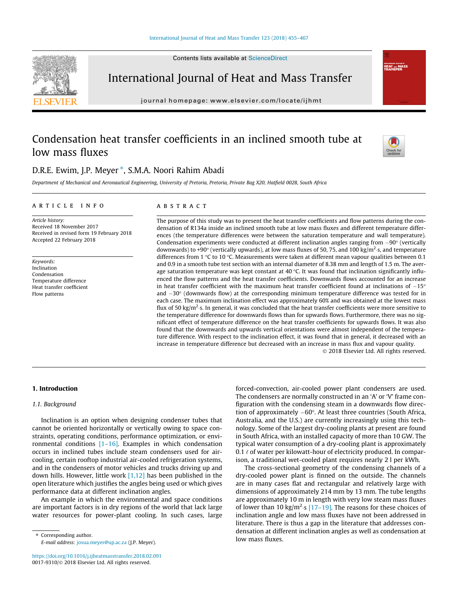

International Journal of Heat and Mass Transfer

journal homepage: [www.elsevier.com/locate/ijhmt](http://www.elsevier.com/locate/ijhmt)

# Condensation heat transfer coefficients in an inclined smooth tube at low mass fluxes



**International Journal** 

# D.R.E. Ewim, J.P. Meyer \*, S.M.A. Noori Rahim Abadi

Department of Mechanical and Aeronautical Engineering, University of Pretoria, Pretoria, Private Bag X20, Hatfield 0028, South Africa

### article info

Article history: Received 18 November 2017 Received in revised form 19 February 2018 Accepted 22 February 2018

Keywords: Inclination Condensation Temperature difference Heat transfer coefficient Flow patterns

# **ABSTRACT**

The purpose of this study was to present the heat transfer coefficients and flow patterns during the condensation of R134a inside an inclined smooth tube at low mass fluxes and different temperature differences (the temperature differences were between the saturation temperature and wall temperature). Condensation experiments were conducted at different inclination angles ranging from  $-90^\circ$  (vertically downwards) to +90° (vertically upwards), at low mass fluxes of 50, 75, and 100 kg/m<sup>2</sup>·s, and temperature differences from 1 °C to 10 °C. Measurements were taken at different mean vapour qualities between 0.1 and 0.9 in a smooth tube test section with an internal diameter of 8.38 mm and length of 1.5 m. The average saturation temperature was kept constant at 40 °C. It was found that inclination significantly influenced the flow patterns and the heat transfer coefficients. Downwards flows accounted for an increase in heat transfer coefficient with the maximum heat transfer coefficient found at inclinations of  $-15^{\circ}$ and  $-30^\circ$  (downwards flow) at the corresponding minimum temperature difference was tested for in each case. The maximum inclination effect was approximately 60% and was obtained at the lowest mass flux of 50 kg/m<sup>2.</sup>s. In general, it was concluded that the heat transfer coefficients were more sensitive to the temperature difference for downwards flows than for upwards flows. Furthermore, there was no significant effect of temperature difference on the heat transfer coefficients for upwards flows. It was also found that the downwards and upwards vertical orientations were almost independent of the temperature difference. With respect to the inclination effect, it was found that in general, it decreased with an increase in temperature difference but decreased with an increase in mass flux and vapour quality. 2018 Elsevier Ltd. All rights reserved.

# 1. Introduction

# 1.1. Background

Inclination is an option when designing condenser tubes that cannot be oriented horizontally or vertically owing to space constraints, operating conditions, performance optimization, or environmental conditions  $[1–16]$ . Examples in which condensation occurs in inclined tubes include steam condensers used for aircooling, certain rooftop industrial air-cooled refrigeration systems, and in the condensers of motor vehicles and trucks driving up and down hills. However, little work  $[1,12]$  has been published in the open literature which justifies the angles being used or which gives performance data at different inclination angles.

An example in which the environmental and space conditions are important factors is in dry regions of the world that lack large water resources for power-plant cooling. In such cases, large

⇑ Corresponding author. E-mail address: [josua.meyer@up.ac.za](mailto:josua.meyer@up.ac.za) (J.P. Meyer).

<https://doi.org/10.1016/j.ijheatmasstransfer.2018.02.091> 0017-9310/© 2018 Elsevier Ltd. All rights reserved.

forced-convection, air-cooled power plant condensers are used. The condensers are normally constructed in an 'A' or 'V' frame configuration with the condensing steam in a downwards flow direction of approximately  $-60^\circ$ . At least three countries (South Africa, Australia, and the U.S.) are currently increasingly using this technology. Some of the largest dry-cooling plants at present are found in South Africa, with an installed capacity of more than 10 GW. The typical water consumption of a dry-cooling plant is approximately 0.1  $\ell$  of water per kilowatt-hour of electricity produced. In comparison, a traditional wet-cooled plant requires nearly 2 l per kWh.

The cross-sectional geometry of the condensing channels of a dry-cooled power plant is finned on the outside. The channels are in many cases flat and rectangular and relatively large with dimensions of approximately 214 mm by 13 mm. The tube lengths are approximately 10 m in length with very low steam mass fluxes of lower than 10 kg/m<sup>2</sup> s [17-19]. The reasons for these choices of inclination angle and low mass fluxes have not been addressed in literature. There is thus a gap in the literature that addresses condensation at different inclination angles as well as condensation at low mass fluxes.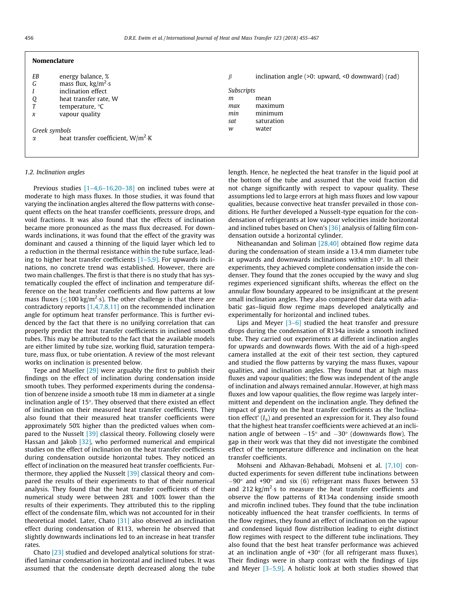#### Nomenclature

| ΕB            | energy balance, %                         | ß                 | inclination angle $(>0$ : upward, $< 0$ downward) (rad) |
|---------------|-------------------------------------------|-------------------|---------------------------------------------------------|
| G             | mass flux, $\text{kg/m}^2 \cdot \text{s}$ |                   |                                                         |
|               | inclination effect                        | <b>Subscripts</b> |                                                         |
| Q             | heat transfer rate, W                     | m                 | mean                                                    |
|               | temperature, $\degree$ C                  | max               | maximum                                                 |
| x             | vapour quality                            | min               | minimum                                                 |
|               |                                           | sat               | saturation                                              |
| Greek symbols |                                           | w                 | water                                                   |
| α             | heat transfer coefficient, $W/m^2$ K      |                   |                                                         |

### 1.2. Inclination angles

Previous studies [\[1–4,6–16,20–38\]](#page--1-0) on inclined tubes were at moderate to high mass fluxes. In those studies, it was found that varying the inclination angles altered the flow patterns with consequent effects on the heat transfer coefficients, pressure drops, and void fractions. It was also found that the effects of inclination became more pronounced as the mass flux decreased. For downwards inclinations, it was found that the effect of the gravity was dominant and caused a thinning of the liquid layer which led to a reduction in the thermal resistance within the tube surface, leading to higher heat transfer coefficients [\[1–5,9\].](#page--1-0) For upwards inclinations, no concrete trend was established. However, there are two main challenges. The first is that there is no study that has systematically coupled the effect of inclination and temperature difference on the heat transfer coefficients and flow patterns at low mass fluxes ( $\leq$ 100 kg/m<sup>2</sup>·s). The other challenge is that there are contradictory reports [\[1,4,7,8,11\]](#page--1-0) on the recommended inclination angle for optimum heat transfer performance. This is further evidenced by the fact that there is no unifying correlation that can properly predict the heat transfer coefficients in inclined smooth tubes. This may be attributed to the fact that the available models are either limited by tube size, working fluid, saturation temperature, mass flux, or tube orientation. A review of the most relevant works on inclination is presented below.

Tepe and Mueller [\[29\]](#page--1-0) were arguably the first to publish their findings on the effect of inclination during condensation inside smooth tubes. They performed experiments during the condensation of benzene inside a smooth tube 18 mm in diameter at a single inclination angle of  $15^\circ$ . They observed that there existed an effect of inclination on their measured heat transfer coefficients. They also found that their measured heat transfer coefficients were approximately 50% higher than the predicted values when compared to the Nusselt [\[39\]](#page--1-0) classical theory. Following closely were Hassan and Jakob [\[32\]](#page--1-0), who performed numerical and empirical studies on the effect of inclination on the heat transfer coefficients during condensation outside horizontal tubes. They noticed an effect of inclination on the measured heat transfer coefficients. Furthermore, they applied the Nusselt [\[39\]](#page--1-0) classical theory and compared the results of their experiments to that of their numerical analysis. They found that the heat transfer coefficients of their numerical study were between 28% and 100% lower than the results of their experiments. They attributed this to the rippling effect of the condensate film, which was not accounted for in their theoretical model. Later, Chato [\[31\]](#page--1-0) also observed an inclination effect during condensation of R113, wherein he observed that slightly downwards inclinations led to an increase in heat transfer rates.

Chato [\[23\]](#page--1-0) studied and developed analytical solutions for stratified laminar condensation in horizontal and inclined tubes. It was assumed that the condensate depth decreased along the tube length. Hence, he neglected the heat transfer in the liquid pool at the bottom of the tube and assumed that the void fraction did not change significantly with respect to vapour quality. These assumptions led to large errors at high mass fluxes and low vapour qualities, because convective heat transfer prevailed in those conditions. He further developed a Nusselt-type equation for the condensation of refrigerants at low vapour velocities inside horizontal and inclined tubes based on Chen's  $[36]$  analysis of falling film condensation outside a horizontal cylinder.

Nitheanandan and Soliman [\[28,40\]](#page--1-0) obtained flow regime data during the condensation of steam inside a 13.4 mm diameter tube at upwards and downwards inclinations within  $\pm 10^\circ$ . In all their experiments, they achieved complete condensation inside the condenser. They found that the zones occupied by the wavy and slug regimes experienced significant shifts, whereas the effect on the annular flow boundary appeared to be insignificant at the present small inclination angles. They also compared their data with adiabatic gas–liquid flow regime maps developed analytically and experimentally for horizontal and inclined tubes.

Lips and Meyer [\[3–6\]](#page--1-0) studied the heat transfer and pressure drops during the condensation of R134a inside a smooth inclined tube. They carried out experiments at different inclination angles for upwards and downwards flows. With the aid of a high-speed camera installed at the exit of their test section, they captured and studied the flow patterns by varying the mass fluxes, vapour qualities, and inclination angles. They found that at high mass fluxes and vapour qualities; the flow was independent of the angle of inclination and always remained annular. However, at high mass fluxes and low vapour qualities, the flow regime was largely intermittent and dependent on the inclination angle. They defined the impact of gravity on the heat transfer coefficients as the 'Inclination effect'  $(I_{\alpha})$  and presented an expression for it. They also found that the highest heat transfer coefficients were achieved at an inclination angle of between  $-15^{\circ}$  and  $-30^{\circ}$  (downwards flow). The gap in their work was that they did not investigate the combined effect of the temperature difference and inclination on the heat transfer coefficients.

Mohseni and Akhavan-Behabadi, Mohseni et al. [\[7,10\]](#page--1-0) conducted experiments for seven different tube inclinations between  $-90^\circ$  and  $+90^\circ$  and six (6) refrigerant mass fluxes between 53 and  $212 \text{ kg/m}^2$  s to measure the heat transfer coefficients and observe the flow patterns of R134a condensing inside smooth and microfin inclined tubes. They found that the tube inclination noticeably influenced the heat transfer coefficients. In terms of the flow regimes, they found an effect of inclination on the vapour and condensed liquid flow distribution leading to eight distinct flow regimes with respect to the different tube inclinations. They also found that the best heat transfer performance was achieved at an inclination angle of  $+30^{\circ}$  (for all refrigerant mass fluxes). Their findings were in sharp contrast with the findings of Lips and Meyer  $[3-5,9]$ . A holistic look at both studies showed that